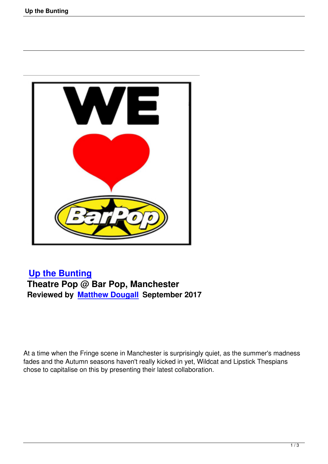

## **Up the Bunting Theatre Pop @ Bar Pop, Manchester [Reviewed by Matt](up-the-bunting.html)hew Dougall September 2017**

At a time when the Fringe scene in Manchester is surprisingly quiet, as the summer's madness fades and the Autumn seasons haven't really kicked in yet, Wildcat and Lipstick Thespians chose to capitalise on this by presenting their latest collaboration.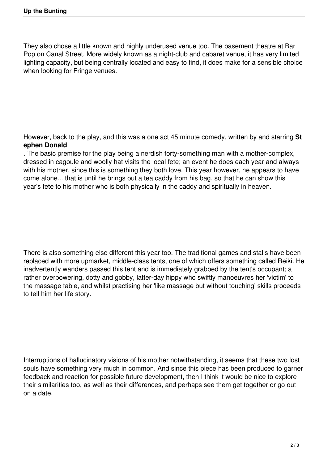They also chose a little known and highly underused venue too. The basement theatre at Bar Pop on Canal Street. More widely known as a night-club and cabaret venue, it has very limited lighting capacity, but being centrally located and easy to find, it does make for a sensible choice when looking for Fringe venues.

However, back to the play, and this was a one act 45 minute comedy, written by and starring **St ephen Donald**

. The basic premise for the play being a nerdish forty-something man with a mother-complex, dressed in cagoule and woolly hat visits the local fete; an event he does each year and always with his mother, since this is something they both love. This year however, he appears to have come alone... that is until he brings out a tea caddy from his bag, so that he can show this year's fete to his mother who is both physically in the caddy and spiritually in heaven.

There is also something else different this year too. The traditional games and stalls have been replaced with more upmarket, middle-class tents, one of which offers something called Reiki. He inadvertently wanders passed this tent and is immediately grabbed by the tent's occupant; a rather overpowering, dotty and gobby, latter-day hippy who swiftly manoeuvres her 'victim' to the massage table, and whilst practising her 'like massage but without touching' skills proceeds to tell him her life story.

Interruptions of hallucinatory visions of his mother notwithstanding, it seems that these two lost souls have something very much in common. And since this piece has been produced to garner feedback and reaction for possible future development, then I think it would be nice to explore their similarities too, as well as their differences, and perhaps see them get together or go out on a date.